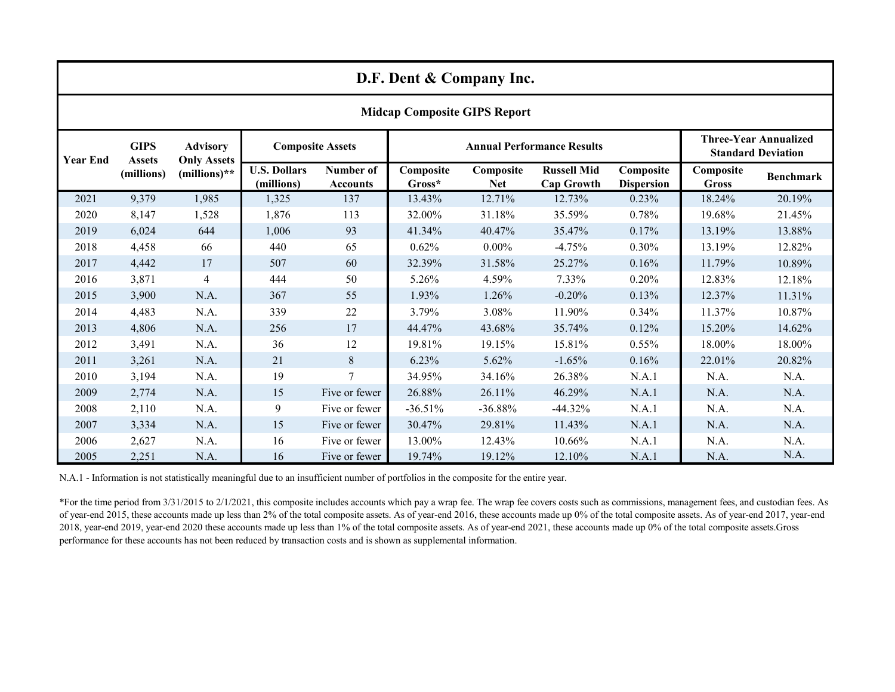| D.F. Dent & Company Inc.            |                                            |                                                       |                                   |                              |                                   |                         |                                         |                                |                                                           |                  |
|-------------------------------------|--------------------------------------------|-------------------------------------------------------|-----------------------------------|------------------------------|-----------------------------------|-------------------------|-----------------------------------------|--------------------------------|-----------------------------------------------------------|------------------|
| <b>Midcap Composite GIPS Report</b> |                                            |                                                       |                                   |                              |                                   |                         |                                         |                                |                                                           |                  |
| <b>Year End</b>                     | <b>GIPS</b><br><b>Assets</b><br>(millions) | <b>Advisory</b><br><b>Only Assets</b><br>(millions)** | <b>Composite Assets</b>           |                              | <b>Annual Performance Results</b> |                         |                                         |                                | <b>Three-Year Annualized</b><br><b>Standard Deviation</b> |                  |
|                                     |                                            |                                                       | <b>U.S. Dollars</b><br>(millions) | Number of<br><b>Accounts</b> | Composite<br>Gross*               | Composite<br><b>Net</b> | <b>Russell Mid</b><br><b>Cap Growth</b> | Composite<br><b>Dispersion</b> | Composite<br><b>Gross</b>                                 | <b>Benchmark</b> |
| 2021                                | 9,379                                      | 1,985                                                 | 1,325                             | 137                          | 13.43%                            | 12.71%                  | 12.73%                                  | 0.23%                          | 18.24%                                                    | 20.19%           |
| 2020                                | 8,147                                      | 1,528                                                 | 1,876                             | 113                          | 32.00%                            | 31.18%                  | 35.59%                                  | 0.78%                          | 19.68%                                                    | 21.45%           |
| 2019                                | 6,024                                      | 644                                                   | 1,006                             | 93                           | 41.34%                            | 40.47%                  | 35.47%                                  | 0.17%                          | 13.19%                                                    | 13.88%           |
| 2018                                | 4,458                                      | 66                                                    | 440                               | 65                           | 0.62%                             | $0.00\%$                | $-4.75%$                                | 0.30%                          | 13.19%                                                    | 12.82%           |
| 2017                                | 4,442                                      | 17                                                    | 507                               | 60                           | 32.39%                            | 31.58%                  | 25.27%                                  | 0.16%                          | 11.79%                                                    | 10.89%           |
| 2016                                | 3,871                                      | $\overline{4}$                                        | 444                               | 50                           | 5.26%                             | 4.59%                   | 7.33%                                   | 0.20%                          | 12.83%                                                    | 12.18%           |
| 2015                                | 3,900                                      | N.A.                                                  | 367                               | 55                           | 1.93%                             | 1.26%                   | $-0.20%$                                | 0.13%                          | 12.37%                                                    | 11.31%           |
| 2014                                | 4,483                                      | N.A.                                                  | 339                               | 22                           | 3.79%                             | 3.08%                   | 11.90%                                  | 0.34%                          | 11.37%                                                    | 10.87%           |
| 2013                                | 4,806                                      | N.A.                                                  | 256                               | 17                           | 44.47%                            | 43.68%                  | 35.74%                                  | 0.12%                          | 15.20%                                                    | 14.62%           |
| 2012                                | 3,491                                      | N.A.                                                  | 36                                | 12                           | 19.81%                            | 19.15%                  | 15.81%                                  | 0.55%                          | 18.00%                                                    | 18.00%           |
| 2011                                | 3,261                                      | N.A.                                                  | 21                                | 8                            | 6.23%                             | 5.62%                   | $-1.65%$                                | 0.16%                          | 22.01%                                                    | 20.82%           |
| 2010                                | 3,194                                      | N.A.                                                  | 19                                | $\overline{7}$               | 34.95%                            | 34.16%                  | 26.38%                                  | N.A.1                          | N.A.                                                      | N.A.             |
| 2009                                | 2,774                                      | N.A.                                                  | 15                                | Five or fewer                | 26.88%                            | 26.11%                  | 46.29%                                  | N.A.1                          | N.A.                                                      | N.A.             |
| 2008                                | 2,110                                      | N.A.                                                  | 9                                 | Five or fewer                | $-36.51%$                         | $-36.88%$               | $-44.32%$                               | N.A.1                          | N.A.                                                      | N.A.             |
| 2007                                | 3,334                                      | N.A.                                                  | 15                                | Five or fewer                | 30.47%                            | 29.81%                  | 11.43%                                  | N.A.1                          | N.A.                                                      | N.A.             |
| 2006                                | 2,627                                      | N.A.                                                  | 16                                | Five or fewer                | 13.00%                            | 12.43%                  | 10.66%                                  | N.A.1                          | N.A.                                                      | N.A.             |
| 2005                                | 2,251                                      | N.A.                                                  | 16                                | Five or fewer                | 19.74%                            | 19.12%                  | 12.10%                                  | N.A.1                          | N.A.                                                      | N.A.             |

N.A.1 - Information is not statistically meaningful due to an insufficient number of portfolios in the composite for the entire year.

\*For the time period from 3/31/2015 to 2/1/2021, this composite includes accounts which pay a wrap fee. The wrap fee covers costs such as commissions, management fees, and custodian fees. As of year-end 2015, these accounts made up less than 2% of the total composite assets. As of year-end 2016, these accounts made up 0% of the total composite assets. As of year-end 2017, year-end 2018, year-end 2019, year-end 2020 these accounts made up less than 1% of the total composite assets. As of year-end 2021, these accounts made up 0% of the total composite assets.Gross performance for these accounts has not been reduced by transaction costs and is shown as supplemental information.